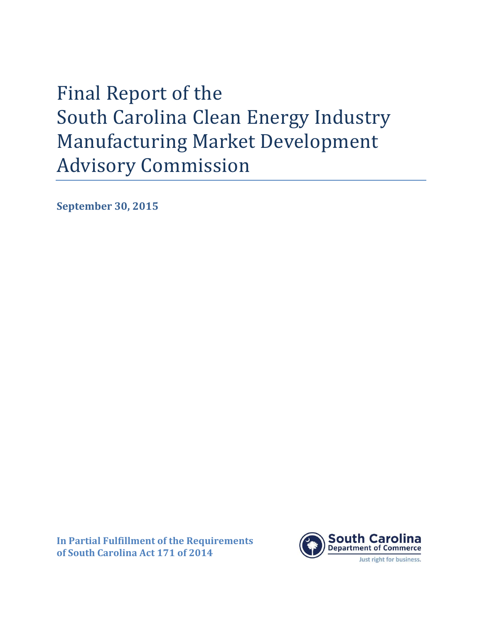Final Report of the South Carolina Clean Energy Industry Manufacturing Market Development Advisory Commission

**September 30, 2015**

**In Partial Fulfillment of the Requirements of South Carolina Act 171 of 2014**

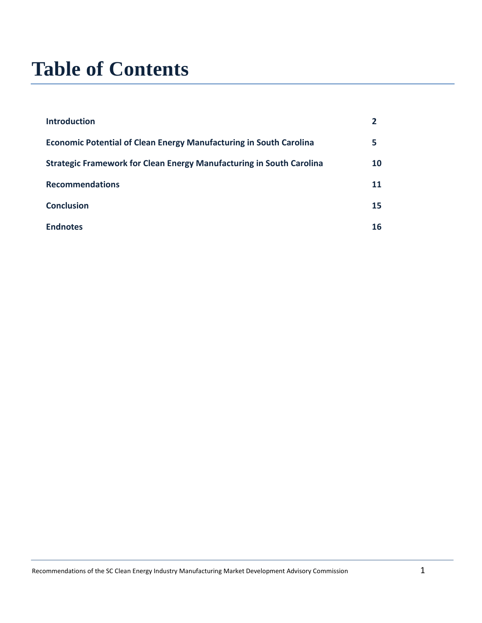# **Table of Contents**

| <b>Introduction</b>                                                         |    |
|-----------------------------------------------------------------------------|----|
| <b>Economic Potential of Clean Energy Manufacturing in South Carolina</b>   | 5  |
| <b>Strategic Framework for Clean Energy Manufacturing in South Carolina</b> | 10 |
| <b>Recommendations</b>                                                      | 11 |
| <b>Conclusion</b>                                                           | 15 |
| <b>Endnotes</b>                                                             | 16 |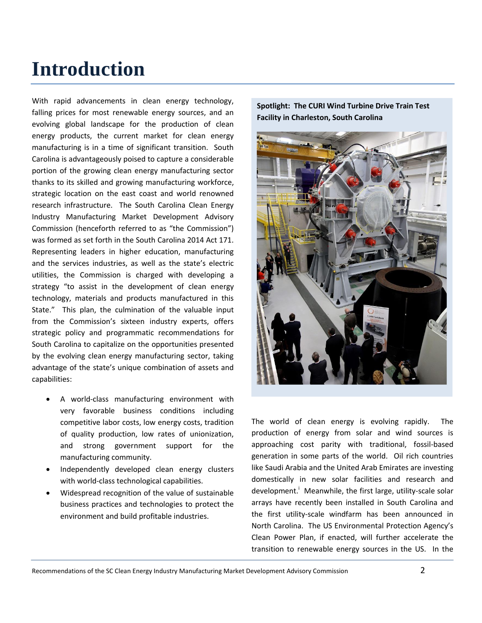# **Introduction**

With rapid advancements in clean energy technology, falling prices for most renewable energy sources, and an evolving global landscape for the production of clean energy products, the current market for clean energy manufacturing is in a time of significant transition. South Carolina is advantageously poised to capture a considerable portion of the growing clean energy manufacturing sector thanks to its skilled and growing manufacturing workforce, strategic location on the east coast and world renowned research infrastructure. The South Carolina Clean Energy Industry Manufacturing Market Development Advisory Commission (henceforth referred to as "the Commission") was formed as set forth in the South Carolina 2014 Act 171. Representing leaders in higher education, manufacturing and the services industries, as well as the state's electric utilities, the Commission is charged with developing a strategy "to assist in the development of clean energy technology, materials and products manufactured in this State." This plan, the culmination of the valuable input from the Commission's sixteen industry experts, offers strategic policy and programmatic recommendations for South Carolina to capitalize on the opportunities presented by the evolving clean energy manufacturing sector, taking advantage of the state's unique combination of assets and capabilities:

- A world-class manufacturing environment with very favorable business conditions including competitive labor costs, low energy costs, tradition of quality production, low rates of unionization, and strong government support for the manufacturing community.
- Independently developed clean energy clusters with world-class technological capabilities.
- Widespread recognition of the value of sustainable business practices and technologies to protect the environment and build profitable industries.





The world of clean energy is evolving rapidly. The production of energy from solar and wind sources is approaching cost parity with traditional, fossil-based generation in some parts of the world. Oil rich countries like Saudi Arabia and the United Arab Emirates are investing domestically in new solar facilities and research and development.<sup>i</sup> Meanwhile, the first large, utility-scale solar arrays have recently been installed in South Carolina and the first utility-scale windfarm has been announced in North Carolina. The US Environmental Protection Agency's Clean Power Plan, if enacted, will further accelerate the transition to renewable energy sources in the US. In the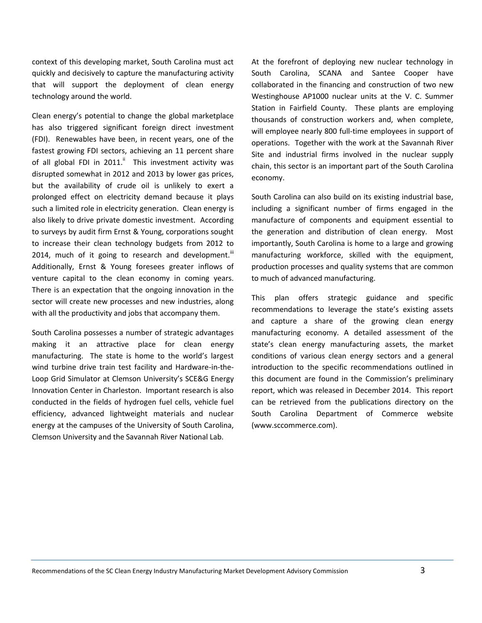context of this developing market, South Carolina must act quickly and decisively to capture the manufacturing activity that will support the deployment of clean energy technology around the world.

Clean energy's potential to change the global marketplace has also triggered significant foreign direct investment (FDI). Renewables have been, in recent years, one of the fastest growing FDI sectors, achieving an 11 percent share of all global FDI in 2011. $\text{ }^{\text{}}\text{ }$  This investment activity was disrupted somewhat in 2012 and 2013 by lower gas prices, but the availability of crude oil is unlikely to exert a prolonged effect on electricity demand because it plays such a limited role in electricity generation. Clean energy is also likely to drive private domestic investment. According to surveys by audit firm Ernst & Young, corporations sought to increase their clean technology budgets from 2012 to 2014, much of it going to research and development.<sup>iii</sup> Additionally, Ernst & Young foresees greater inflows of venture capital to the clean economy in coming years. There is an expectation that the ongoing innovation in the sector will create new processes and new industries, along with all the productivity and jobs that accompany them.

South Carolina possesses a number of strategic advantages making it an attractive place for clean energy manufacturing. The state is home to the world's largest wind turbine drive train test facility and Hardware-in-the-Loop Grid Simulator at Clemson University's SCE&G Energy Innovation Center in Charleston. Important research is also conducted in the fields of hydrogen fuel cells, vehicle fuel efficiency, advanced lightweight materials and nuclear energy at the campuses of the University of South Carolina, Clemson University and the Savannah River National Lab.

At the forefront of deploying new nuclear technology in South Carolina, SCANA and Santee Cooper have collaborated in the financing and construction of two new Westinghouse AP1000 nuclear units at the V. C. Summer Station in Fairfield County. These plants are employing thousands of construction workers and, when complete, will employee nearly 800 full-time employees in support of operations. Together with the work at the Savannah River Site and industrial firms involved in the nuclear supply chain, this sector is an important part of the South Carolina economy.

South Carolina can also build on its existing industrial base, including a significant number of firms engaged in the manufacture of components and equipment essential to the generation and distribution of clean energy. Most importantly, South Carolina is home to a large and growing manufacturing workforce, skilled with the equipment, production processes and quality systems that are common to much of advanced manufacturing.

This plan offers strategic guidance and specific recommendations to leverage the state's existing assets and capture a share of the growing clean energy manufacturing economy. A detailed assessment of the state's clean energy manufacturing assets, the market conditions of various clean energy sectors and a general introduction to the specific recommendations outlined in this document are found in the Commission's preliminary report, which was released in December 2014. This report can be retrieved from the publications directory on the South Carolina Department of Commerce website (www.sccommerce.com).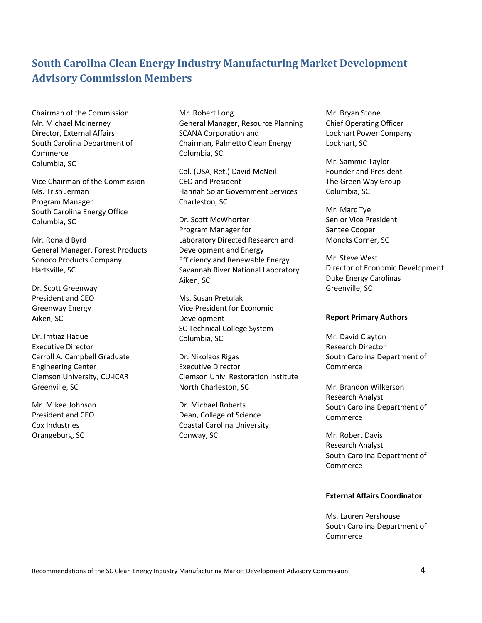### **South Carolina Clean Energy Industry Manufacturing Market Development Advisory Commission Members**

Chairman of the Commission Mr. Michael McInerney Director, External Affairs South Carolina Department of Commerce Columbia, SC

Vice Chairman of the Commission Ms. Trish Jerman Program Manager South Carolina Energy Office Columbia, SC

Mr. Ronald Byrd General Manager, Forest Products Sonoco Products Company Hartsville, SC

Dr. Scott Greenway President and CEO Greenway Energy Aiken, SC

Dr. Imtiaz Haque Executive Director Carroll A. Campbell Graduate Engineering Center Clemson University, CU-ICAR Greenville, SC

Mr. Mikee Johnson President and CEO Cox Industries Orangeburg, SC

Mr. Robert Long General Manager, Resource Planning SCANA Corporation and Chairman, Palmetto Clean Energy Columbia, SC

Col. (USA, Ret.) David McNeil CEO and President Hannah Solar Government Services Charleston, SC

Dr. Scott McWhorter Program Manager for Laboratory Directed Research and Development and Energy Efficiency and Renewable Energy Savannah River National Laboratory Aiken, SC

Ms. Susan Pretulak Vice President for Economic Development SC Technical College System Columbia, SC

Dr. Nikolaos Rigas Executive Director Clemson Univ. Restoration Institute North Charleston, SC

Dr. Michael Roberts Dean, College of Science Coastal Carolina University Conway, SC

Mr. Bryan Stone Chief Operating Officer Lockhart Power Company Lockhart, SC

Mr. Sammie Taylor Founder and President The Green Way Group Columbia, SC

Mr. Marc Tye Senior Vice President Santee Cooper Moncks Corner, SC

Mr. Steve West Director of Economic Development Duke Energy Carolinas Greenville, SC

#### **Report Primary Authors**

Mr. David Clayton Research Director South Carolina Department of Commerce

Mr. Brandon Wilkerson Research Analyst South Carolina Department of Commerce

Mr. Robert Davis Research Analyst South Carolina Department of **Commerce** 

### **External Affairs Coordinator**

Ms. Lauren Pershouse South Carolina Department of Commerce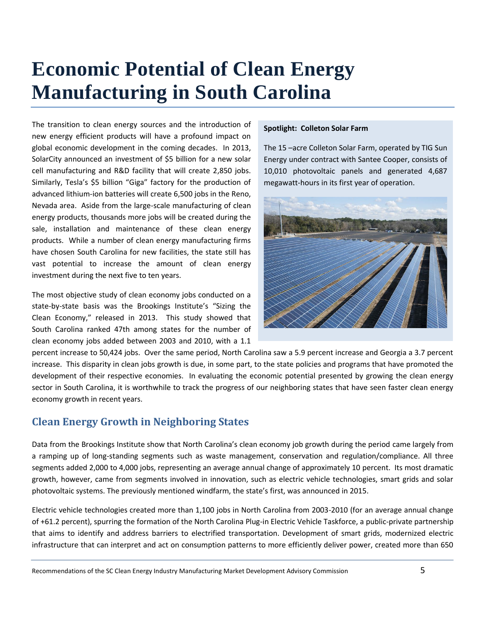# **Economic Potential of Clean Energy Manufacturing in South Carolina**

The transition to clean energy sources and the introduction of new energy efficient products will have a profound impact on global economic development in the coming decades. In 2013, SolarCity announced an investment of \$5 billion for a new solar cell manufacturing and R&D facility that will create 2,850 jobs. Similarly, Tesla's \$5 billion "Giga" factory for the production of advanced lithium-ion batteries will create 6,500 jobs in the Reno, Nevada area. Aside from the large-scale manufacturing of clean energy products, thousands more jobs will be created during the sale, installation and maintenance of these clean energy products. While a number of clean energy manufacturing firms have chosen South Carolina for new facilities, the state still has vast potential to increase the amount of clean energy investment during the next five to ten years.

The most objective study of clean economy jobs conducted on a state-by-state basis was the Brookings Institute's "Sizing the Clean Economy," released in 2013. This study showed that South Carolina ranked 47th among states for the number of clean economy jobs added between 2003 and 2010, with a 1.1

### **Spotlight: Colleton Solar Farm**

The 15 –acre Colleton Solar Farm, operated by TIG Sun Energy under contract with Santee Cooper, consists of 10,010 photovoltaic panels and generated 4,687 megawatt-hours in its first year of operation.



percent increase to 50,424 jobs. Over the same period, North Carolina saw a 5.9 percent increase and Georgia a 3.7 percent increase. This disparity in clean jobs growth is due, in some part, to the state policies and programs that have promoted the development of their respective economies. In evaluating the economic potential presented by growing the clean energy sector in South Carolina, it is worthwhile to track the progress of our neighboring states that have seen faster clean energy economy growth in recent years.

### **Clean Energy Growth in Neighboring States**

Data from the Brookings Institute show that North Carolina's clean economy job growth during the period came largely from a ramping up of long-standing segments such as waste management, conservation and regulation/compliance. All three segments added 2,000 to 4,000 jobs, representing an average annual change of approximately 10 percent. Its most dramatic growth, however, came from segments involved in innovation, such as electric vehicle technologies, smart grids and solar photovoltaic systems. The previously mentioned windfarm, the state's first, was announced in 2015.

Electric vehicle technologies created more than 1,100 jobs in North Carolina from 2003-2010 (for an average annual change of +61.2 percent), spurring the formation of the North Carolina Plug-in Electric Vehicle Taskforce, a public-private partnership that aims to identify and address barriers to electrified transportation. Development of smart grids, modernized electric infrastructure that can interpret and act on consumption patterns to more efficiently deliver power, created more than 650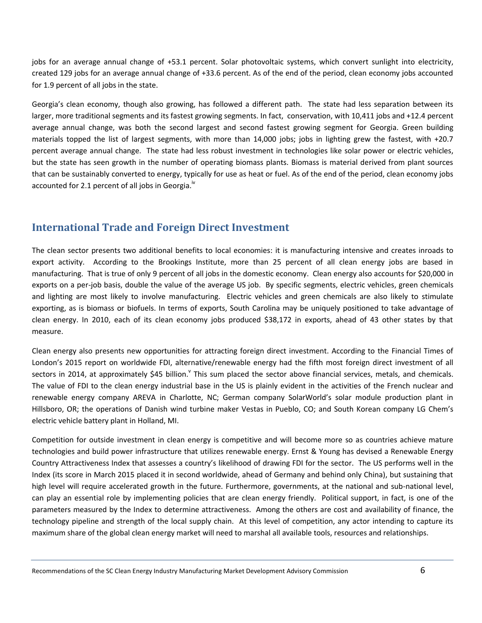jobs for an average annual change of +53.1 percent. Solar photovoltaic systems, which convert sunlight into electricity, created 129 jobs for an average annual change of +33.6 percent. As of the end of the period, clean economy jobs accounted for 1.9 percent of all jobs in the state.

Georgia's clean economy, though also growing, has followed a different path. The state had less separation between its larger, more traditional segments and its fastest growing segments. In fact, conservation, with 10,411 jobs and +12.4 percent average annual change, was both the second largest and second fastest growing segment for Georgia. Green building materials topped the list of largest segments, with more than 14,000 jobs; jobs in lighting grew the fastest, with +20.7 percent average annual change. The state had less robust investment in technologies like solar power or electric vehicles, but the state has seen growth in the number of operating biomass plants. Biomass is material derived from plant sources that can be sustainably converted to energy, typically for use as heat or fuel. As of the end of the period, clean economy jobs accounted for 2.1 percent of all jobs in Georgia.<sup>iv</sup>

### **International Trade and Foreign Direct Investment**

The clean sector presents two additional benefits to local economies: it is manufacturing intensive and creates inroads to export activity. According to the Brookings Institute, more than 25 percent of all clean energy jobs are based in manufacturing. That is true of only 9 percent of all jobs in the domestic economy. Clean energy also accounts for \$20,000 in exports on a per-job basis, double the value of the average US job. By specific segments, electric vehicles, green chemicals and lighting are most likely to involve manufacturing. Electric vehicles and green chemicals are also likely to stimulate exporting, as is biomass or biofuels. In terms of exports, South Carolina may be uniquely positioned to take advantage of clean energy. In 2010, each of its clean economy jobs produced \$38,172 in exports, ahead of 43 other states by that measure.

Clean energy also presents new opportunities for attracting foreign direct investment. According to the Financial Times of London's 2015 report on worldwide FDI, alternative/renewable energy had the fifth most foreign direct investment of all sectors in 2014, at approximately \$45 billion. This sum placed the sector above financial services, metals, and chemicals. The value of FDI to the clean energy industrial base in the US is plainly evident in the activities of the French nuclear and renewable energy company AREVA in Charlotte, NC; German company SolarWorld's solar module production plant in Hillsboro, OR; the operations of Danish wind turbine maker Vestas in Pueblo, CO; and South Korean company LG Chem's electric vehicle battery plant in Holland, MI.

Competition for outside investment in clean energy is competitive and will become more so as countries achieve mature technologies and build power infrastructure that utilizes renewable energy. Ernst & Young has devised a Renewable Energy Country Attractiveness Index that assesses a country's likelihood of drawing FDI for the sector. The US performs well in the Index (its score in March 2015 placed it in second worldwide, ahead of Germany and behind only China), but sustaining that high level will require accelerated growth in the future. Furthermore, governments, at the national and sub-national level, can play an essential role by implementing policies that are clean energy friendly. Political support, in fact, is one of the parameters measured by the Index to determine attractiveness. Among the others are cost and availability of finance, the technology pipeline and strength of the local supply chain. At this level of competition, any actor intending to capture its maximum share of the global clean energy market will need to marshal all available tools, resources and relationships.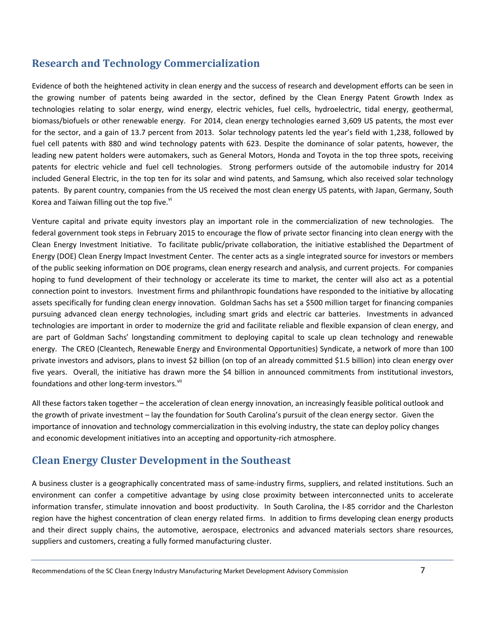### **Research and Technology Commercialization**

Evidence of both the heightened activity in clean energy and the success of research and development efforts can be seen in the growing number of patents being awarded in the sector, defined by the Clean Energy Patent Growth Index as technologies relating to solar energy, wind energy, electric vehicles, fuel cells, hydroelectric, tidal energy, geothermal, biomass/biofuels or other renewable energy. For 2014, clean energy technologies earned 3,609 US patents, the most ever for the sector, and a gain of 13.7 percent from 2013. Solar technology patents led the year's field with 1,238, followed by fuel cell patents with 880 and wind technology patents with 623. Despite the dominance of solar patents, however, the leading new patent holders were automakers, such as General Motors, Honda and Toyota in the top three spots, receiving patents for electric vehicle and fuel cell technologies. Strong performers outside of the automobile industry for 2014 included General Electric, in the top ten for its solar and wind patents, and Samsung, which also received solar technology patents. By parent country, companies from the US received the most clean energy US patents, with Japan, Germany, South Korea and Taiwan filling out the top five. $\mathrm{v}^{\mathrm{i}}$ 

Venture capital and private equity investors play an important role in the commercialization of new technologies. The federal government took steps in February 2015 to encourage the flow of private sector financing into clean energy with the Clean Energy Investment Initiative. To facilitate public/private collaboration, the initiative established the Department of Energy (DOE) Clean Energy Impact Investment Center. The center acts as a single integrated source for investors or members of the public seeking information on DOE programs, clean energy research and analysis, and current projects. For companies hoping to fund development of their technology or accelerate its time to market, the center will also act as a potential connection point to investors. Investment firms and philanthropic foundations have responded to the initiative by allocating assets specifically for funding clean energy innovation. Goldman Sachs has set a \$500 million target for financing companies pursuing advanced clean energy technologies, including smart grids and electric car batteries. Investments in advanced technologies are important in order to modernize the grid and facilitate reliable and flexible expansion of clean energy, and are part of Goldman Sachs' longstanding commitment to deploying capital to scale up clean technology and renewable energy. The CREO (Cleantech, Renewable Energy and Environmental Opportunities) Syndicate, a network of more than 100 private investors and advisors, plans to invest \$2 billion (on top of an already committed \$1.5 billion) into clean energy over five years. Overall, the initiative has drawn more the \$4 billion in announced commitments from institutional investors, foundations and other long-term investors.<sup>vii</sup>

All these factors taken together – the acceleration of clean energy innovation, an increasingly feasible political outlook and the growth of private investment – lay the foundation for South Carolina's pursuit of the clean energy sector. Given the importance of innovation and technology commercialization in this evolving industry, the state can deploy policy changes and economic development initiatives into an accepting and opportunity-rich atmosphere.

### **Clean Energy Cluster Development in the Southeast**

A business cluster is a geographically concentrated mass of same-industry firms, suppliers, and related institutions. Such an environment can confer a competitive advantage by using close proximity between interconnected units to accelerate information transfer, stimulate innovation and boost productivity. In South Carolina, the I-85 corridor and the Charleston region have the highest concentration of clean energy related firms. In addition to firms developing clean energy products and their direct supply chains, the automotive, aerospace, electronics and advanced materials sectors share resources, suppliers and customers, creating a fully formed manufacturing cluster.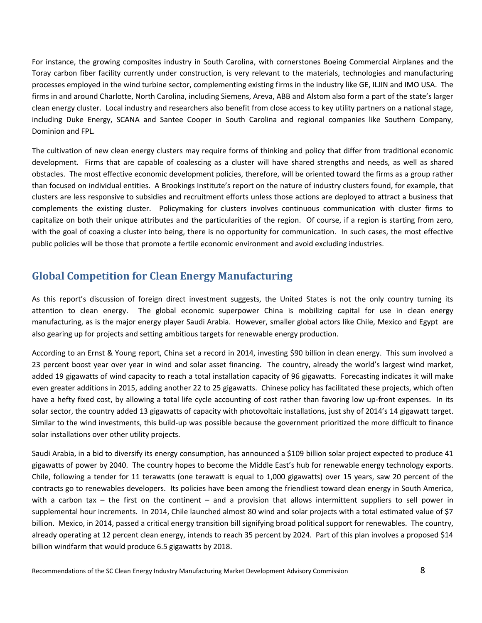For instance, the growing composites industry in South Carolina, with cornerstones Boeing Commercial Airplanes and the Toray carbon fiber facility currently under construction, is very relevant to the materials, technologies and manufacturing processes employed in the wind turbine sector, complementing existing firms in the industry like GE, ILJIN and IMO USA. The firms in and around Charlotte, North Carolina, including Siemens, Areva, ABB and Alstom also form a part of the state's larger clean energy cluster. Local industry and researchers also benefit from close access to key utility partners on a national stage, including Duke Energy, SCANA and Santee Cooper in South Carolina and regional companies like Southern Company, Dominion and FPL.

The cultivation of new clean energy clusters may require forms of thinking and policy that differ from traditional economic development. Firms that are capable of coalescing as a cluster will have shared strengths and needs, as well as shared obstacles. The most effective economic development policies, therefore, will be oriented toward the firms as a group rather than focused on individual entities. A Brookings Institute's report on the nature of industry clusters found, for example, that clusters are less responsive to subsidies and recruitment efforts unless those actions are deployed to attract a business that complements the existing cluster. Policymaking for clusters involves continuous communication with cluster firms to capitalize on both their unique attributes and the particularities of the region. Of course, if a region is starting from zero, with the goal of coaxing a cluster into being, there is no opportunity for communication. In such cases, the most effective public policies will be those that promote a fertile economic environment and avoid excluding industries.

### **Global Competition for Clean Energy Manufacturing**

As this report's discussion of foreign direct investment suggests, the United States is not the only country turning its attention to clean energy. The global economic superpower China is mobilizing capital for use in clean energy manufacturing, as is the major energy player Saudi Arabia. However, smaller global actors like Chile, Mexico and Egypt are also gearing up for projects and setting ambitious targets for renewable energy production.

According to an Ernst & Young report, China set a record in 2014, investing \$90 billion in clean energy. This sum involved a 23 percent boost year over year in wind and solar asset financing. The country, already the world's largest wind market, added 19 gigawatts of wind capacity to reach a total installation capacity of 96 gigawatts. Forecasting indicates it will make even greater additions in 2015, adding another 22 to 25 gigawatts. Chinese policy has facilitated these projects, which often have a hefty fixed cost, by allowing a total life cycle accounting of cost rather than favoring low up-front expenses. In its solar sector, the country added 13 gigawatts of capacity with photovoltaic installations, just shy of 2014's 14 gigawatt target. Similar to the wind investments, this build-up was possible because the government prioritized the more difficult to finance solar installations over other utility projects.

Saudi Arabia, in a bid to diversify its energy consumption, has announced a \$109 billion solar project expected to produce 41 gigawatts of power by 2040. The country hopes to become the Middle East's hub for renewable energy technology exports. Chile, following a tender for 11 terawatts (one terawatt is equal to 1,000 gigawatts) over 15 years, saw 20 percent of the contracts go to renewables developers. Its policies have been among the friendliest toward clean energy in South America, with a carbon tax – the first on the continent – and a provision that allows intermittent suppliers to sell power in supplemental hour increments. In 2014, Chile launched almost 80 wind and solar projects with a total estimated value of \$7 billion. Mexico, in 2014, passed a critical energy transition bill signifying broad political support for renewables. The country, already operating at 12 percent clean energy, intends to reach 35 percent by 2024. Part of this plan involves a proposed \$14 billion windfarm that would produce 6.5 gigawatts by 2018.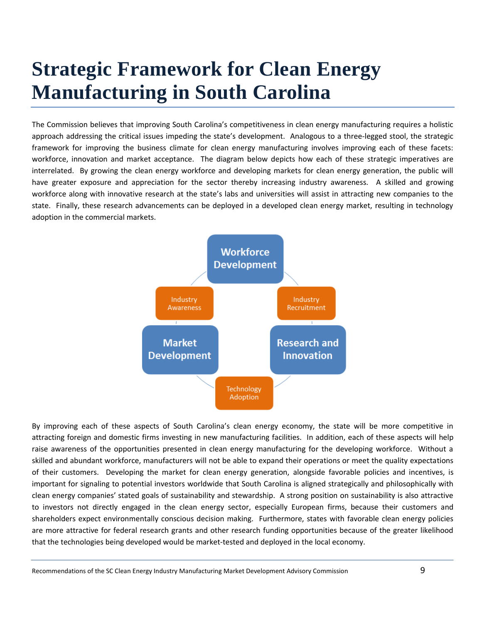# **Strategic Framework for Clean Energy Manufacturing in South Carolina**

The Commission believes that improving South Carolina's competitiveness in clean energy manufacturing requires a holistic approach addressing the critical issues impeding the state's development. Analogous to a three-legged stool, the strategic framework for improving the business climate for clean energy manufacturing involves improving each of these facets: workforce, innovation and market acceptance. The diagram below depicts how each of these strategic imperatives are interrelated. By growing the clean energy workforce and developing markets for clean energy generation, the public will have greater exposure and appreciation for the sector thereby increasing industry awareness. A skilled and growing workforce along with innovative research at the state's labs and universities will assist in attracting new companies to the state. Finally, these research advancements can be deployed in a developed clean energy market, resulting in technology adoption in the commercial markets.



By improving each of these aspects of South Carolina's clean energy economy, the state will be more competitive in attracting foreign and domestic firms investing in new manufacturing facilities. In addition, each of these aspects will help raise awareness of the opportunities presented in clean energy manufacturing for the developing workforce. Without a skilled and abundant workforce, manufacturers will not be able to expand their operations or meet the quality expectations of their customers. Developing the market for clean energy generation, alongside favorable policies and incentives, is important for signaling to potential investors worldwide that South Carolina is aligned strategically and philosophically with clean energy companies' stated goals of sustainability and stewardship. A strong position on sustainability is also attractive to investors not directly engaged in the clean energy sector, especially European firms, because their customers and shareholders expect environmentally conscious decision making. Furthermore, states with favorable clean energy policies are more attractive for federal research grants and other research funding opportunities because of the greater likelihood that the technologies being developed would be market-tested and deployed in the local economy.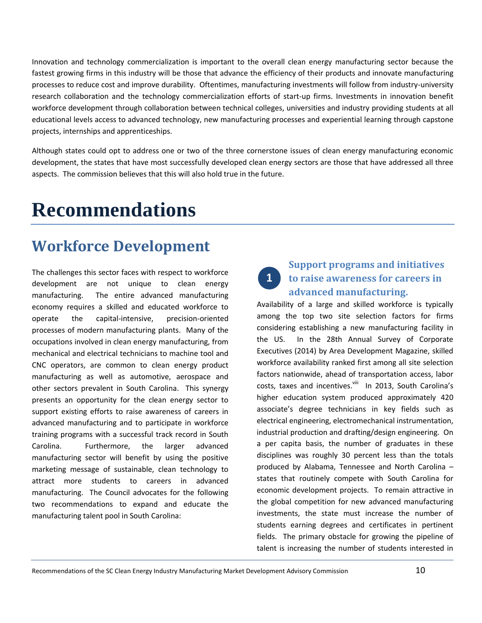Innovation and technology commercialization is important to the overall clean energy manufacturing sector because the fastest growing firms in this industry will be those that advance the efficiency of their products and innovate manufacturing processes to reduce cost and improve durability. Oftentimes, manufacturing investments will follow from industry-university research collaboration and the technology commercialization efforts of start-up firms. Investments in innovation benefit workforce development through collaboration between technical colleges, universities and industry providing students at all educational levels access to advanced technology, new manufacturing processes and experiential learning through capstone projects, internships and apprenticeships.

Although states could opt to address one or two of the three cornerstone issues of clean energy manufacturing economic development, the states that have most successfully developed clean energy sectors are those that have addressed all three aspects. The commission believes that this will also hold true in the future.

# **Recommendations**

### **Workforce Development**

The challenges this sector faces with respect to workforce development are not unique to clean energy manufacturing. The entire advanced manufacturing economy requires a skilled and educated workforce to operate the capital-intensive, precision-oriented processes of modern manufacturing plants. Many of the occupations involved in clean energy manufacturing, from mechanical and electrical technicians to machine tool and CNC operators, are common to clean energy product manufacturing as well as automotive, aerospace and other sectors prevalent in South Carolina. This synergy presents an opportunity for the clean energy sector to support existing efforts to raise awareness of careers in advanced manufacturing and to participate in workforce training programs with a successful track record in South Carolina. Furthermore, the larger advanced manufacturing sector will benefit by using the positive marketing message of sustainable, clean technology to attract more students to careers in advanced manufacturing. The Council advocates for the following two recommendations to expand and educate the manufacturing talent pool in South Carolina:

# **1**

### **Support programs and initiatives to raise awareness for careers in advanced manufacturing.**

Availability of a large and skilled workforce is typically among the top two site selection factors for firms considering establishing a new manufacturing facility in the US. In the 28th Annual Survey of Corporate Executives (2014) by Area Development Magazine, skilled workforce availability ranked first among all site selection factors nationwide, ahead of transportation access, labor costs, taxes and incentives.<sup>viii</sup> In 2013, South Carolina's higher education system produced approximately 420 associate's degree technicians in key fields such as electrical engineering, electromechanical instrumentation, industrial production and drafting/design engineering. On a per capita basis, the number of graduates in these disciplines was roughly 30 percent less than the totals produced by Alabama, Tennessee and North Carolina – states that routinely compete with South Carolina for economic development projects. To remain attractive in the global competition for new advanced manufacturing investments, the state must increase the number of students earning degrees and certificates in pertinent fields. The primary obstacle for growing the pipeline of talent is increasing the number of students interested in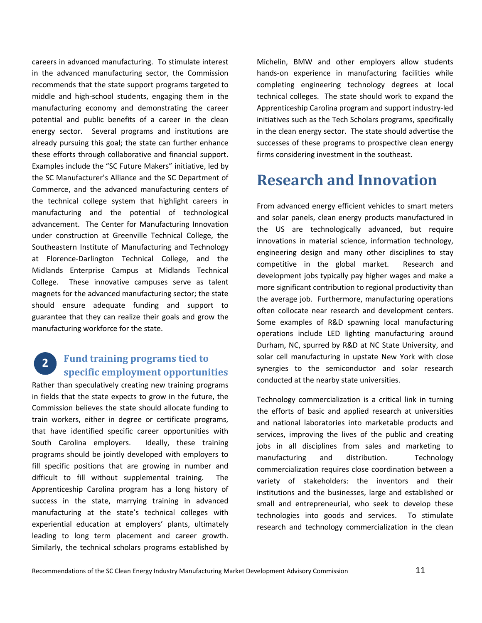careers in advanced manufacturing. To stimulate interest in the advanced manufacturing sector, the Commission recommends that the state support programs targeted to middle and high-school students, engaging them in the manufacturing economy and demonstrating the career potential and public benefits of a career in the clean energy sector. Several programs and institutions are already pursuing this goal; the state can further enhance these efforts through collaborative and financial support. Examples include the "SC Future Makers" initiative, led by the SC Manufacturer's Alliance and the SC Department of Commerce, and the advanced manufacturing centers of the technical college system that highlight careers in manufacturing and the potential of technological advancement. The Center for Manufacturing Innovation under construction at Greenville Technical College, the Southeastern Institute of Manufacturing and Technology at Florence-Darlington Technical College, and the Midlands Enterprise Campus at Midlands Technical College. These innovative campuses serve as talent magnets for the advanced manufacturing sector; the state should ensure adequate funding and support to guarantee that they can realize their goals and grow the manufacturing workforce for the state.

### **Fund training programs tied to specific employment opportunities 2**

Rather than speculatively creating new training programs in fields that the state expects to grow in the future, the Commission believes the state should allocate funding to train workers, either in degree or certificate programs, that have identified specific career opportunities with South Carolina employers. Ideally, these training programs should be jointly developed with employers to fill specific positions that are growing in number and difficult to fill without supplemental training. The Apprenticeship Carolina program has a long history of success in the state, marrying training in advanced manufacturing at the state's technical colleges with experiential education at employers' plants, ultimately leading to long term placement and career growth. Similarly, the technical scholars programs established by Michelin, BMW and other employers allow students hands-on experience in manufacturing facilities while completing engineering technology degrees at local technical colleges. The state should work to expand the Apprenticeship Carolina program and support industry-led initiatives such as the Tech Scholars programs, specifically in the clean energy sector. The state should advertise the successes of these programs to prospective clean energy firms considering investment in the southeast.

### **Research and Innovation**

From advanced energy efficient vehicles to smart meters and solar panels, clean energy products manufactured in the US are technologically advanced, but require innovations in material science, information technology, engineering design and many other disciplines to stay competitive in the global market. Research and development jobs typically pay higher wages and make a more significant contribution to regional productivity than the average job. Furthermore, manufacturing operations often collocate near research and development centers. Some examples of R&D spawning local manufacturing operations include LED lighting manufacturing around Durham, NC, spurred by R&D at NC State University, and solar cell manufacturing in upstate New York with close synergies to the semiconductor and solar research conducted at the nearby state universities.

Technology commercialization is a critical link in turning the efforts of basic and applied research at universities and national laboratories into marketable products and services, improving the lives of the public and creating jobs in all disciplines from sales and marketing to manufacturing and distribution. Technology commercialization requires close coordination between a variety of stakeholders: the inventors and their institutions and the businesses, large and established or small and entrepreneurial, who seek to develop these technologies into goods and services. To stimulate research and technology commercialization in the clean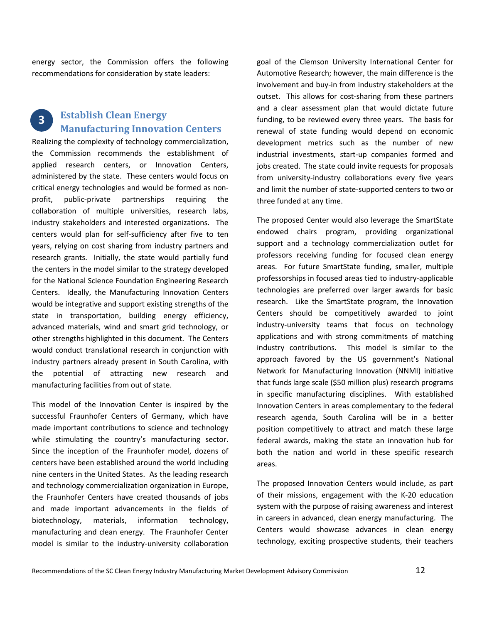energy sector, the Commission offers the following recommendations for consideration by state leaders:

#### **Establish Clean Energy Manufacturing Innovation Centers 3**

Realizing the complexity of technology commercialization, the Commission recommends the establishment of applied research centers, or Innovation Centers, administered by the state. These centers would focus on critical energy technologies and would be formed as nonprofit, public-private partnerships requiring the collaboration of multiple universities, research labs, industry stakeholders and interested organizations. The centers would plan for self-sufficiency after five to ten years, relying on cost sharing from industry partners and research grants. Initially, the state would partially fund the centers in the model similar to the strategy developed for the National Science Foundation Engineering Research Centers. Ideally, the Manufacturing Innovation Centers would be integrative and support existing strengths of the state in transportation, building energy efficiency, advanced materials, wind and smart grid technology, or other strengths highlighted in this document. The Centers would conduct translational research in conjunction with industry partners already present in South Carolina, with the potential of attracting new research and manufacturing facilities from out of state.

This model of the Innovation Center is inspired by the successful Fraunhofer Centers of Germany, which have made important contributions to science and technology while stimulating the country's manufacturing sector. Since the inception of the Fraunhofer model, dozens of centers have been established around the world including nine centers in the United States. As the leading research and technology commercialization organization in Europe, the Fraunhofer Centers have created thousands of jobs and made important advancements in the fields of biotechnology, materials, information technology, manufacturing and clean energy. The Fraunhofer Center model is similar to the industry-university collaboration

goal of the Clemson University International Center for Automotive Research; however, the main difference is the involvement and buy-in from industry stakeholders at the outset. This allows for cost-sharing from these partners and a clear assessment plan that would dictate future funding, to be reviewed every three years. The basis for renewal of state funding would depend on economic development metrics such as the number of new industrial investments, start-up companies formed and jobs created. The state could invite requests for proposals from university-industry collaborations every five years and limit the number of state-supported centers to two or three funded at any time.

The proposed Center would also leverage the SmartState endowed chairs program, providing organizational support and a technology commercialization outlet for professors receiving funding for focused clean energy areas. For future SmartState funding, smaller, multiple professorships in focused areas tied to industry-applicable technologies are preferred over larger awards for basic research. Like the SmartState program, the Innovation Centers should be competitively awarded to joint industry-university teams that focus on technology applications and with strong commitments of matching industry contributions. This model is similar to the approach favored by the US government's National Network for Manufacturing Innovation (NNMI) initiative that funds large scale (\$50 million plus) research programs in specific manufacturing disciplines. With established Innovation Centers in areas complementary to the federal research agenda, South Carolina will be in a better position competitively to attract and match these large federal awards, making the state an innovation hub for both the nation and world in these specific research areas.

The proposed Innovation Centers would include, as part of their missions, engagement with the K-20 education system with the purpose of raising awareness and interest in careers in advanced, clean energy manufacturing. The Centers would showcase advances in clean energy technology, exciting prospective students, their teachers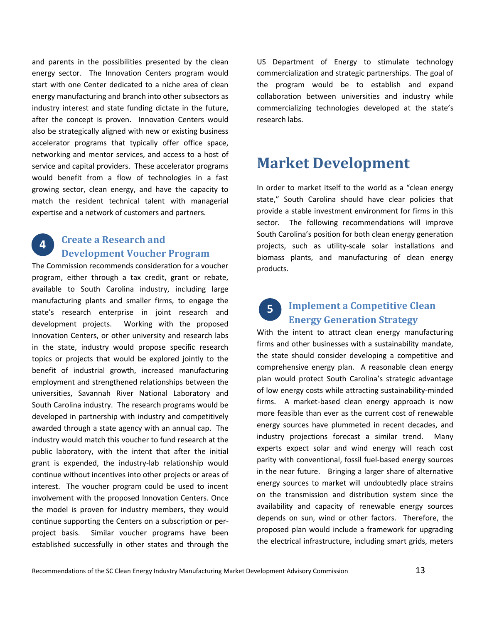and parents in the possibilities presented by the clean energy sector. The Innovation Centers program would start with one Center dedicated to a niche area of clean energy manufacturing and branch into other subsectors as industry interest and state funding dictate in the future, after the concept is proven. Innovation Centers would also be strategically aligned with new or existing business accelerator programs that typically offer office space, networking and mentor services, and access to a host of service and capital providers. These accelerator programs would benefit from a flow of technologies in a fast growing sector, clean energy, and have the capacity to match the resident technical talent with managerial expertise and a network of customers and partners.

#### **Create a Research and Development Voucher Program 4**

The Commission recommends consideration for a voucher program, either through a tax credit, grant or rebate, available to South Carolina industry, including large manufacturing plants and smaller firms, to engage the state's research enterprise in joint research and development projects. Working with the proposed Innovation Centers, or other university and research labs in the state, industry would propose specific research topics or projects that would be explored jointly to the benefit of industrial growth, increased manufacturing employment and strengthened relationships between the universities, Savannah River National Laboratory and South Carolina industry. The research programs would be developed in partnership with industry and competitively awarded through a state agency with an annual cap. The industry would match this voucher to fund research at the public laboratory, with the intent that after the initial grant is expended, the industry-lab relationship would continue without incentives into other projects or areas of interest. The voucher program could be used to incent involvement with the proposed Innovation Centers. Once the model is proven for industry members, they would continue supporting the Centers on a subscription or perproject basis. Similar voucher programs have been established successfully in other states and through the

US Department of Energy to stimulate technology commercialization and strategic partnerships. The goal of the program would be to establish and expand collaboration between universities and industry while commercializing technologies developed at the state's research labs.

### **Market Development**

In order to market itself to the world as a "clean energy state," South Carolina should have clear policies that provide a stable investment environment for firms in this sector. The following recommendations will improve South Carolina's position for both clean energy generation projects, such as utility-scale solar installations and biomass plants, and manufacturing of clean energy products.

### **Implement a Competitive Clean Energy Generation Strategy 5**

With the intent to attract clean energy manufacturing firms and other businesses with a sustainability mandate, the state should consider developing a competitive and comprehensive energy plan. A reasonable clean energy plan would protect South Carolina's strategic advantage of low energy costs while attracting sustainability-minded firms. A market-based clean energy approach is now more feasible than ever as the current cost of renewable energy sources have plummeted in recent decades, and industry projections forecast a similar trend. Many experts expect solar and wind energy will reach cost parity with conventional, fossil fuel-based energy sources in the near future. Bringing a larger share of alternative energy sources to market will undoubtedly place strains on the transmission and distribution system since the availability and capacity of renewable energy sources depends on sun, wind or other factors. Therefore, the proposed plan would include a framework for upgrading the electrical infrastructure, including smart grids, meters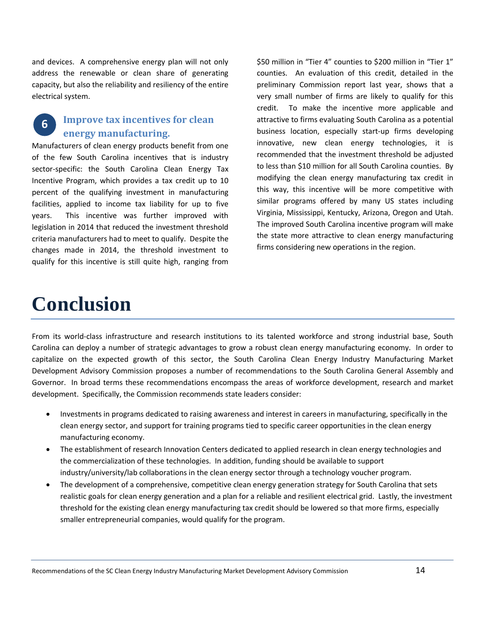and devices. A comprehensive energy plan will not only address the renewable or clean share of generating capacity, but also the reliability and resiliency of the entire electrical system.

#### **Improve tax incentives for clean energy manufacturing. 6**

Manufacturers of clean energy products benefit from one of the few South Carolina incentives that is industry sector-specific: the South Carolina Clean Energy Tax Incentive Program, which provides a tax credit up to 10 percent of the qualifying investment in manufacturing facilities, applied to income tax liability for up to five years. This incentive was further improved with legislation in 2014 that reduced the investment threshold criteria manufacturers had to meet to qualify. Despite the changes made in 2014, the threshold investment to qualify for this incentive is still quite high, ranging from

\$50 million in "Tier 4" counties to \$200 million in "Tier 1" counties. An evaluation of this credit, detailed in the preliminary Commission report last year, shows that a very small number of firms are likely to qualify for this credit. To make the incentive more applicable and attractive to firms evaluating South Carolina as a potential business location, especially start-up firms developing innovative, new clean energy technologies, it is recommended that the investment threshold be adjusted to less than \$10 million for all South Carolina counties. By modifying the clean energy manufacturing tax credit in this way, this incentive will be more competitive with similar programs offered by many US states including Virginia, Mississippi, Kentucky, Arizona, Oregon and Utah. The improved South Carolina incentive program will make the state more attractive to clean energy manufacturing firms considering new operations in the region.

## **Conclusion**

From its world-class infrastructure and research institutions to its talented workforce and strong industrial base, South Carolina can deploy a number of strategic advantages to grow a robust clean energy manufacturing economy. In order to capitalize on the expected growth of this sector, the South Carolina Clean Energy Industry Manufacturing Market Development Advisory Commission proposes a number of recommendations to the South Carolina General Assembly and Governor. In broad terms these recommendations encompass the areas of workforce development, research and market development. Specifically, the Commission recommends state leaders consider:

- Investments in programs dedicated to raising awareness and interest in careers in manufacturing, specifically in the clean energy sector, and support for training programs tied to specific career opportunities in the clean energy manufacturing economy.
- The establishment of research Innovation Centers dedicated to applied research in clean energy technologies and the commercialization of these technologies. In addition, funding should be available to support industry/university/lab collaborations in the clean energy sector through a technology voucher program.
- The development of a comprehensive, competitive clean energy generation strategy for South Carolina that sets realistic goals for clean energy generation and a plan for a reliable and resilient electrical grid. Lastly, the investment threshold for the existing clean energy manufacturing tax credit should be lowered so that more firms, especially smaller entrepreneurial companies, would qualify for the program.